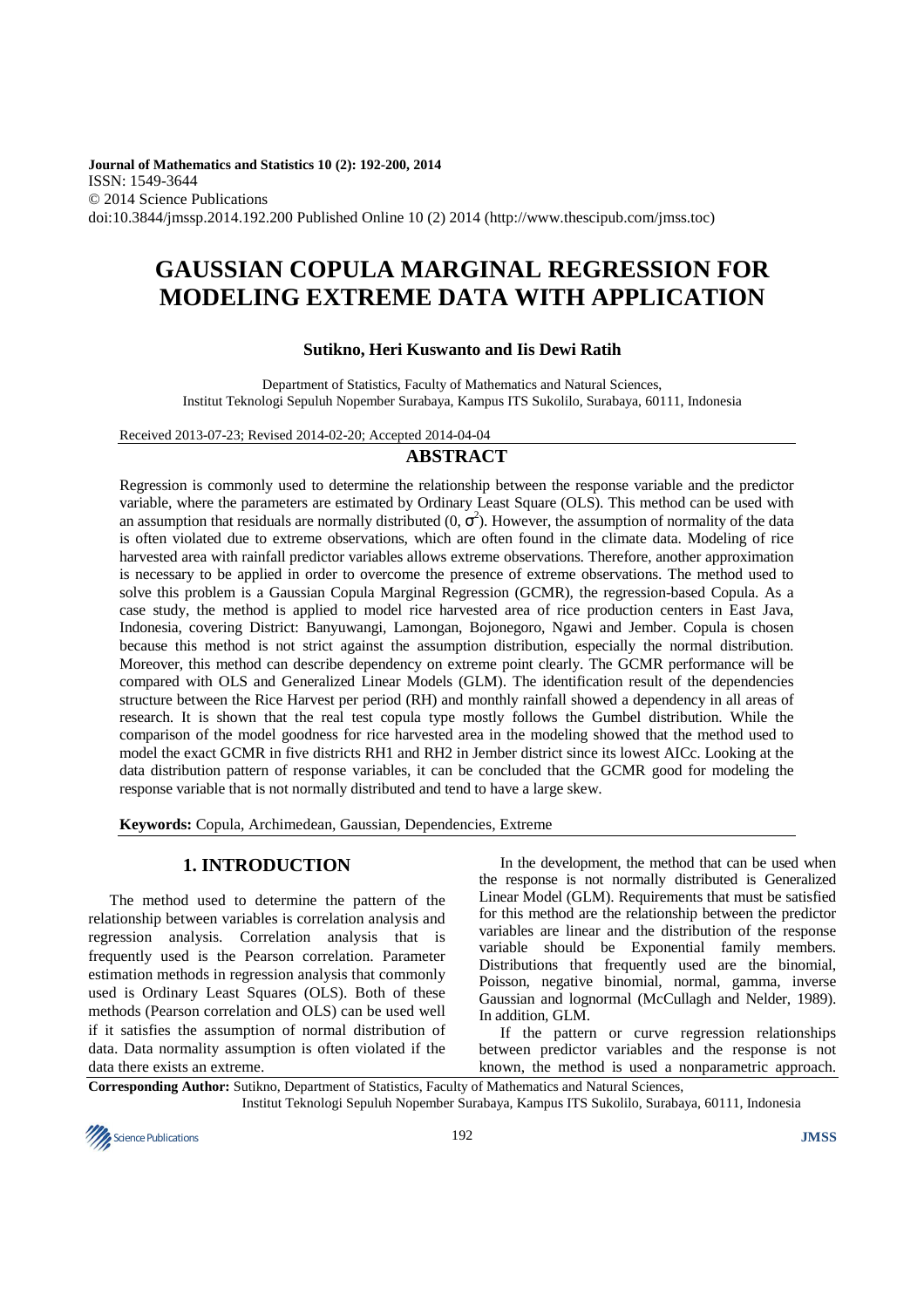**Journal of Mathematics and Statistics 10 (2): 192-200, 2014**  ISSN: 1549-3644 © 2014 Science Publications doi:10.3844/jmssp.2014.192.200 Published Online 10 (2) 2014 (http://www.thescipub.com/jmss.toc)

# **GAUSSIAN COPULA MARGINAL REGRESSION FOR MODELING EXTREME DATA WITH APPLICATION**

#### **Sutikno, Heri Kuswanto and Iis Dewi Ratih**

Department of Statistics, Faculty of Mathematics and Natural Sciences, Institut Teknologi Sepuluh Nopember Surabaya, Kampus ITS Sukolilo, Surabaya, 60111, Indonesia

Received 2013-07-23; Revised 2014-02-20; Accepted 2014-04-04

# **ABSTRACT**

Regression is commonly used to determine the relationship between the response variable and the predictor variable, where the parameters are estimated by Ordinary Least Square (OLS). This method can be used with an assumption that residuals are normally distributed  $(0, \sigma^2)$ . However, the assumption of normality of the data is often violated due to extreme observations, which are often found in the climate data. Modeling of rice harvested area with rainfall predictor variables allows extreme observations. Therefore, another approximation is necessary to be applied in order to overcome the presence of extreme observations. The method used to solve this problem is a Gaussian Copula Marginal Regression (GCMR), the regression-based Copula. As a case study, the method is applied to model rice harvested area of rice production centers in East Java, Indonesia, covering District: Banyuwangi, Lamongan, Bojonegoro, Ngawi and Jember. Copula is chosen because this method is not strict against the assumption distribution, especially the normal distribution. Moreover, this method can describe dependency on extreme point clearly. The GCMR performance will be compared with OLS and Generalized Linear Models (GLM). The identification result of the dependencies structure between the Rice Harvest per period (RH) and monthly rainfall showed a dependency in all areas of research. It is shown that the real test copula type mostly follows the Gumbel distribution. While the comparison of the model goodness for rice harvested area in the modeling showed that the method used to model the exact GCMR in five districts RH1 and RH2 in Jember district since its lowest AICc. Looking at the data distribution pattern of response variables, it can be concluded that the GCMR good for modeling the response variable that is not normally distributed and tend to have a large skew.

**Keywords:** Copula, Archimedean, Gaussian, Dependencies, Extreme

# **1. INTRODUCTION**

The method used to determine the pattern of the relationship between variables is correlation analysis and regression analysis. Correlation analysis that is frequently used is the Pearson correlation. Parameter estimation methods in regression analysis that commonly used is Ordinary Least Squares (OLS). Both of these methods (Pearson correlation and OLS) can be used well if it satisfies the assumption of normal distribution of data. Data normality assumption is often violated if the data there exists an extreme.

In the development, the method that can be used when the response is not normally distributed is Generalized Linear Model (GLM). Requirements that must be satisfied for this method are the relationship between the predictor variables are linear and the distribution of the response variable should be Exponential family members. Distributions that frequently used are the binomial, Poisson, negative binomial, normal, gamma, inverse Gaussian and lognormal (McCullagh and Nelder, 1989). In addition, GLM.

If the pattern or curve regression relationships between predictor variables and the response is not known, the method is used a nonparametric approach.

**Corresponding Author:** Sutikno, Department of Statistics, Faculty of Mathematics and Natural Sciences, Institut Teknologi Sepuluh Nopember Surabaya, Kampus ITS Sukolilo, Surabaya, 60111, Indonesia

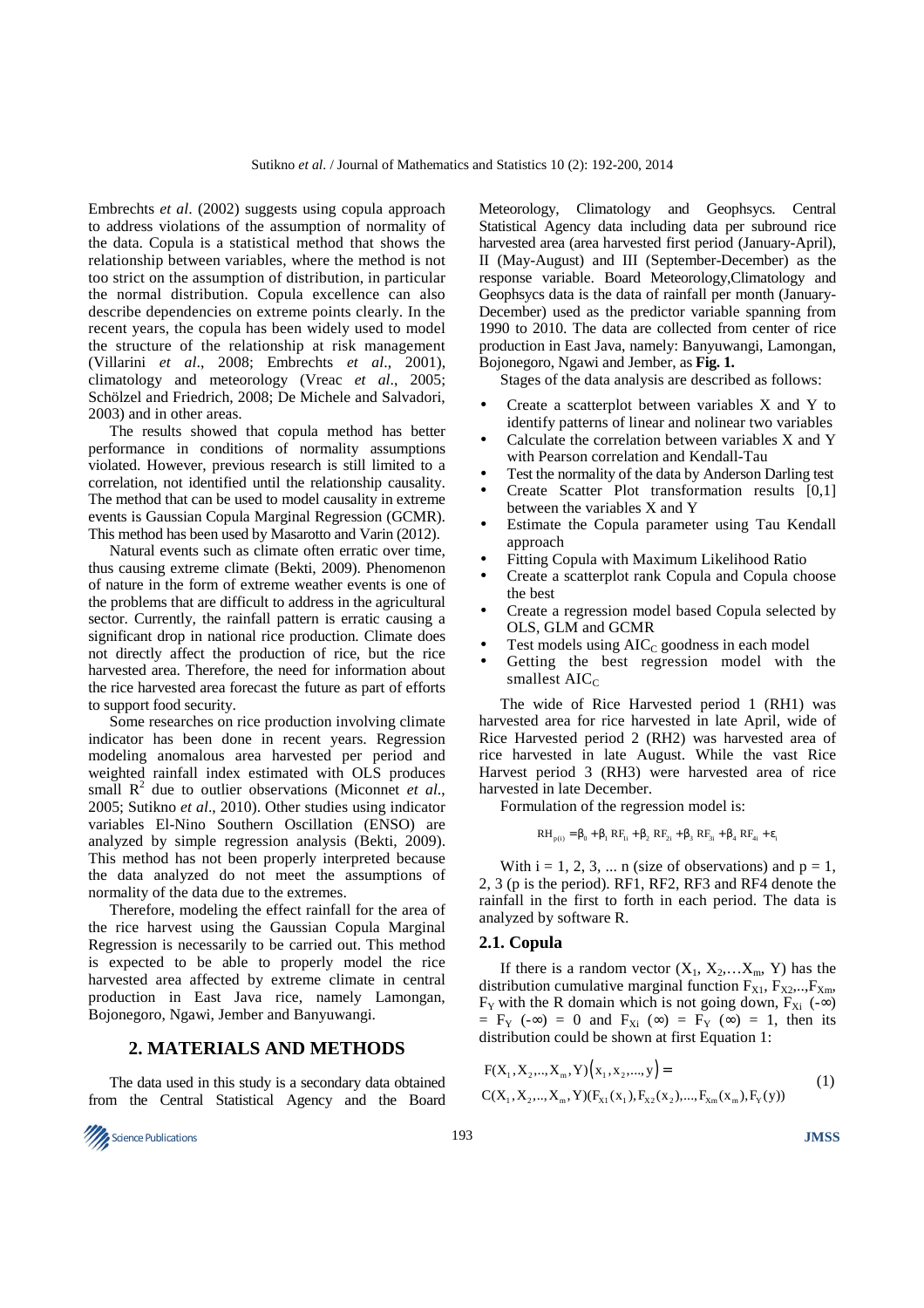Embrechts *et al*. (2002) suggests using copula approach to address violations of the assumption of normality of the data. Copula is a statistical method that shows the relationship between variables, where the method is not too strict on the assumption of distribution, in particular the normal distribution. Copula excellence can also describe dependencies on extreme points clearly. In the recent years, the copula has been widely used to model the structure of the relationship at risk management (Villarini *et al*., 2008; Embrechts *et al*., 2001), climatology and meteorology (Vreac *et al*., 2005; Schölzel and Friedrich, 2008; De Michele and Salvadori, 2003) and in other areas.

The results showed that copula method has better performance in conditions of normality assumptions violated. However, previous research is still limited to a correlation, not identified until the relationship causality. The method that can be used to model causality in extreme events is Gaussian Copula Marginal Regression (GCMR). This method has been used by Masarotto and Varin (2012).

Natural events such as climate often erratic over time, thus causing extreme climate (Bekti, 2009). Phenomenon of nature in the form of extreme weather events is one of the problems that are difficult to address in the agricultural sector. Currently, the rainfall pattern is erratic causing a significant drop in national rice production. Climate does not directly affect the production of rice, but the rice harvested area. Therefore, the need for information about the rice harvested area forecast the future as part of efforts to support food security.

Some researches on rice production involving climate indicator has been done in recent years. Regression modeling anomalous area harvested per period and weighted rainfall index estimated with OLS produces small R<sup>2</sup> due to outlier observations (Miconnet *et al.*, 2005; Sutikno *et al*., 2010). Other studies using indicator variables El-Nino Southern Oscillation (ENSO) are analyzed by simple regression analysis (Bekti, 2009). This method has not been properly interpreted because the data analyzed do not meet the assumptions of normality of the data due to the extremes.

Therefore, modeling the effect rainfall for the area of the rice harvest using the Gaussian Copula Marginal Regression is necessarily to be carried out. This method is expected to be able to properly model the rice harvested area affected by extreme climate in central production in East Java rice, namely Lamongan, Bojonegoro, Ngawi, Jember and Banyuwangi.

## **2. MATERIALS AND METHODS**

The data used in this study is a secondary data obtained from the Central Statistical Agency and the Board



Meteorology, Climatology and Geophsycs. Central Statistical Agency data including data per subround rice harvested area (area harvested first period (January-April), II (May-August) and III (September-December) as the response variable. Board Meteorology,Climatology and Geophsycs data is the data of rainfall per month (January-December) used as the predictor variable spanning from 1990 to 2010. The data are collected from center of rice production in East Java, namely: Banyuwangi, Lamongan, Bojonegoro, Ngawi and Jember, as **Fig. 1.**

Stages of the data analysis are described as follows:

- Create a scatterplot between variables X and Y to identify patterns of linear and nolinear two variables
- Calculate the correlation between variables X and Y with Pearson correlation and Kendall-Tau
- Test the normality of the data by Anderson Darling test
- Create Scatter Plot transformation results [0,1] between the variables X and Y
- Estimate the Copula parameter using Tau Kendall approach
- Fitting Copula with Maximum Likelihood Ratio
- Create a scatterplot rank Copula and Copula choose the best
- Create a regression model based Copula selected by OLS, GLM and GCMR
- Test models using  $AIC<sub>C</sub>$  goodness in each model
- Getting the best regression model with the smallest  $AIC_C$

The wide of Rice Harvested period 1 (RH1) was harvested area for rice harvested in late April, wide of Rice Harvested period 2 (RH2) was harvested area of rice harvested in late August. While the vast Rice Harvest period 3 (RH3) were harvested area of rice harvested in late December.

Formulation of the regression model is:

$$
RH_{p(i)} = \beta_0 + \beta_1 RF_{1i} + \beta_2 RF_{2i} + \beta_3 RF_{3i} + \beta_4 RF_{4i} + \epsilon_i
$$

With  $i = 1, 2, 3, \dots$  n (size of observations) and  $p = 1$ , 2, 3 (p is the period). RF1, RF2, RF3 and RF4 denote the rainfall in the first to forth in each period. The data is analyzed by software R.

#### **2.1. Copula**

If there is a random vector  $(X_1, X_2,...X_m, Y)$  has the distribution cumulative marginal function  $F_{X1}$ ,  $F_{X2}$ ,.., $F_{Xm}$ ,  $F_Y$  with the R domain which is not going down,  $F_{Xi}$  (- $\infty$ )  $=$  F<sub>Y</sub> (-∞) = 0 and F<sub>Xi</sub> (∞) = F<sub>Y</sub> (∞) = 1, then its distribution could be shown at first Equation 1:

$$
F(X_1, X_2, ..., X_m, Y)(x_1, x_2, ..., y) =
$$
  
\n
$$
C(X_1, X_2, ..., X_m, Y)(F_{X1}(x_1), F_{X2}(x_2), ..., F_{Xm}(x_m), F_Y(y))
$$
\n(1)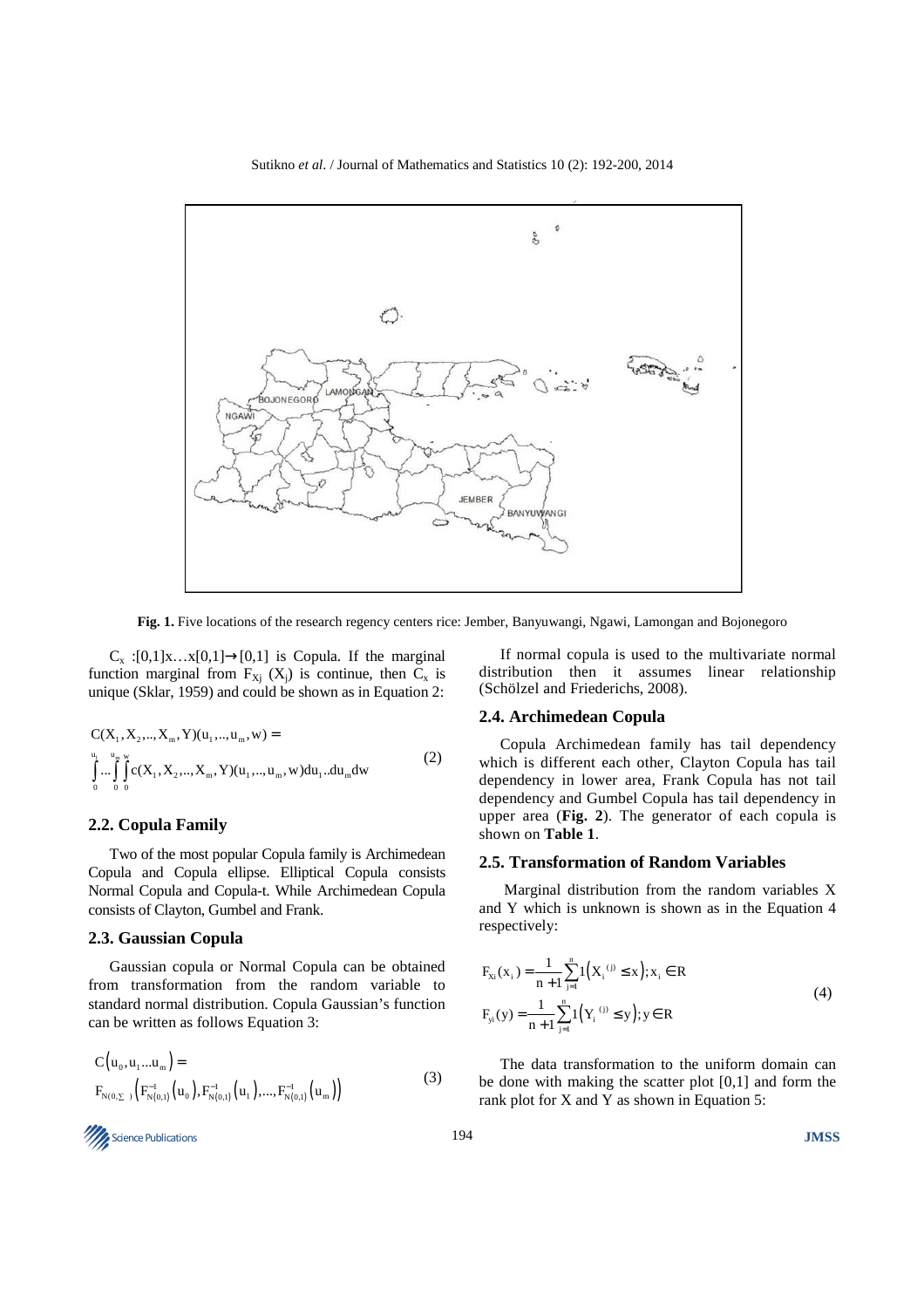Sutikno *et al*. / Journal of Mathematics and Statistics 10 (2): 192-200, 2014



**Fig. 1.** Five locations of the research regency centers rice: Jember, Banyuwangi, Ngawi, Lamongan and Bojonegoro

 $C_x$  :[0,1]x…x[0,1]→[0,1] is Copula. If the marginal function marginal from  $F_{Xi}$  (X<sub>i</sub>) is continue, then  $C_x$  is unique (Sklar, 1959) and could be shown as in Equation 2:

$$
C(X_1, X_2, ..., X_m, Y)(u_1, ..., u_m, w) =
$$
  
\n
$$
\int_{0}^{u_1} ... \int_{0}^{u_m} \int_{0}^{w} c(X_1, X_2, ..., X_m, Y)(u_1, ..., u_m, w) du_1...du_m dw
$$
 (2)

## **2.2. Copula Family**

Two of the most popular Copula family is Archimedean Copula and Copula ellipse. Elliptical Copula consists Normal Copula and Copula-t. While Archimedean Copula consists of Clayton, Gumbel and Frank.

#### **2.3. Gaussian Copula**

Gaussian copula or Normal Copula can be obtained from transformation from the random variable to standard normal distribution. Copula Gaussian's function can be written as follows Equation 3:

$$
C(u_0, u_1...u_m) =
$$
  
\n
$$
F_{N(0,\Sigma)}(F_{N(0,1)}^{-1}(u_0), F_{N(0,1)}^{-1}(u_1),...,F_{N(0,1)}^{-1}(u_m))
$$
\n(3)

If normal copula is used to the multivariate normal distribution then it assumes linear relationship (Schölzel and Friederichs, 2008).

### **2.4. Archimedean Copula**

Copula Archimedean family has tail dependency which is different each other, Clayton Copula has tail dependency in lower area, Frank Copula has not tail dependency and Gumbel Copula has tail dependency in upper area (**Fig. 2**). The generator of each copula is shown on **Table 1**.

#### **2.5. Transformation of Random Variables**

 Marginal distribution from the random variables X and Y which is unknown is shown as in the Equation 4 respectively:

$$
F_{xi}(x_i) = \frac{1}{n+1} \sum_{j=1}^{n} 1(X_i^{(j)} \le x); x_i \in R
$$
  
\n
$$
F_{yi}(y) = \frac{1}{n+1} \sum_{j=1}^{n} 1(Y_i^{(j)} \le y); y \in R
$$
\n(4)

The data transformation to the uniform domain can be done with making the scatter plot [0,1] and form the rank plot for X and Y as shown in Equation 5:

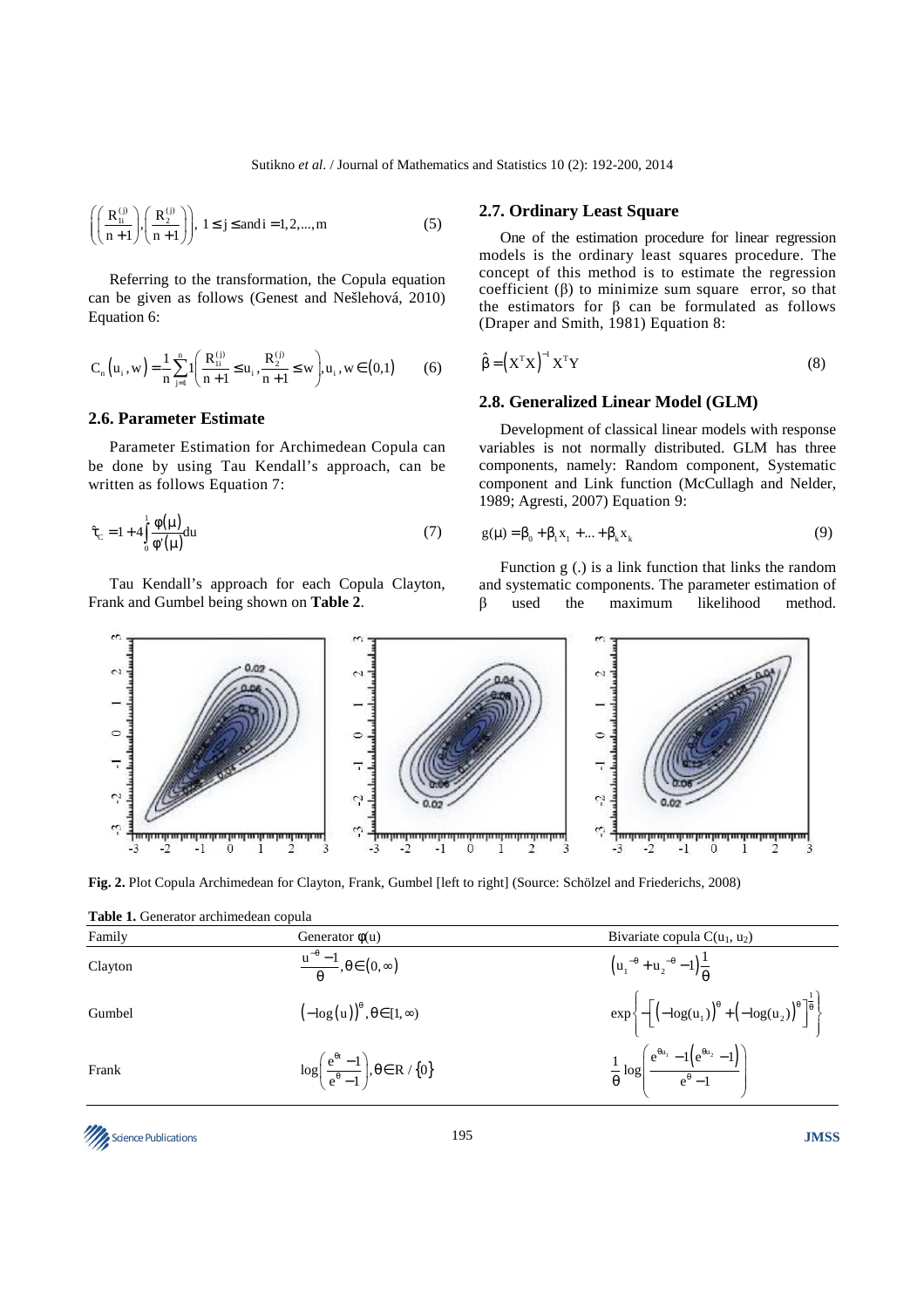$$
\left( \left( \frac{\mathbf{R}_{1i}^{(j)}}{n+1} \right), \left( \frac{\mathbf{R}_{2}^{(j)}}{n+1} \right) \right), \ 1 \leq j \leq \text{and} \ i = 1, 2, ..., m \tag{5}
$$

Referring to the transformation, the Copula equation can be given as follows (Genest and Nešlehová, 2010) Equation 6:

$$
C_n(u_i, w) = \frac{1}{n} \sum_{j=1}^n I\left(\frac{R_{1i}^{(j)}}{n+1} \le u_i, \frac{R_2^{(j)}}{n+1} \le w\right), u_i, w \in (0, 1) \tag{6}
$$

#### **2.6. Parameter Estimate**

Parameter Estimation for Archimedean Copula can be done by using Tau Kendall's approach, can be written as follows Equation 7:

$$
\hat{\tau}_{\rm C} = 1 + 4 \int_0^1 \frac{\phi(\mu)}{\phi'(\mu)} du \tag{7}
$$

Tau Kendall's approach for each Copula Clayton, Frank and Gumbel being shown on **Table 2**.

### **2.7. Ordinary Least Square**

One of the estimation procedure for linear regression models is the ordinary least squares procedure. The concept of this method is to estimate the regression coefficient  $(\beta)$  to minimize sum square error, so that the estimators for  $β$  can be formulated as follows (Draper and Smith, 1981) Equation 8:

$$
\hat{\beta} = (X^{\mathrm{T}}X)^{-1}X^{\mathrm{T}}Y
$$
\n(8)

## **2.8. Generalized Linear Model (GLM)**

Development of classical linear models with response variables is not normally distributed. GLM has three components, namely: Random component, Systematic component and Link function (McCullagh and Nelder, 1989; Agresti, 2007) Equation 9:

$$
g(\mu) = \beta_0 + \beta_1 x_1 + ... + \beta_k x_k
$$
 (9)

Function g (.) is a link function that links the random and systematic components. The parameter estimation of β used the maximum likelihood method.



**Fig. 2.** Plot Copula Archimedean for Clayton, Frank, Gumbel [left to right] (Source: Schölzel and Friederichs, 2008)

| Table 1. Generator archimedean copula |  |
|---------------------------------------|--|
|                                       |  |

| Family  | Generator $\phi(u)$                                                          | Bivariate copula $C(u_1, u_2)$                                                                            |
|---------|------------------------------------------------------------------------------|-----------------------------------------------------------------------------------------------------------|
| Clayton | $\frac{u^{-\theta}-1}{\theta}, \theta \in (0, \infty)$                       | $(u_1^{-\theta} + u_2^{-\theta} - 1) \frac{1}{\theta}$                                                    |
| Gumbel  | $(-\log(u))^{\theta}, \theta \in [1, \infty)$                                | $\exp\left\{-\left[(-\log(u_1)\right)^{\theta} + (-\log(u_2))^{\theta}\right]^{\frac{1}{\theta}}\right\}$ |
| Frank   | $\log\left(\frac{e^{\theta t}-1}{e^{\theta}-1}\right), \theta \in R / \{0\}$ | $\frac{1}{\theta} \log \left( \frac{e^{\theta u_1} - 1 (e^{\theta u_2} - 1)}{e^{\theta} - 1} \right)$     |

Science Publications 195 **JMSS**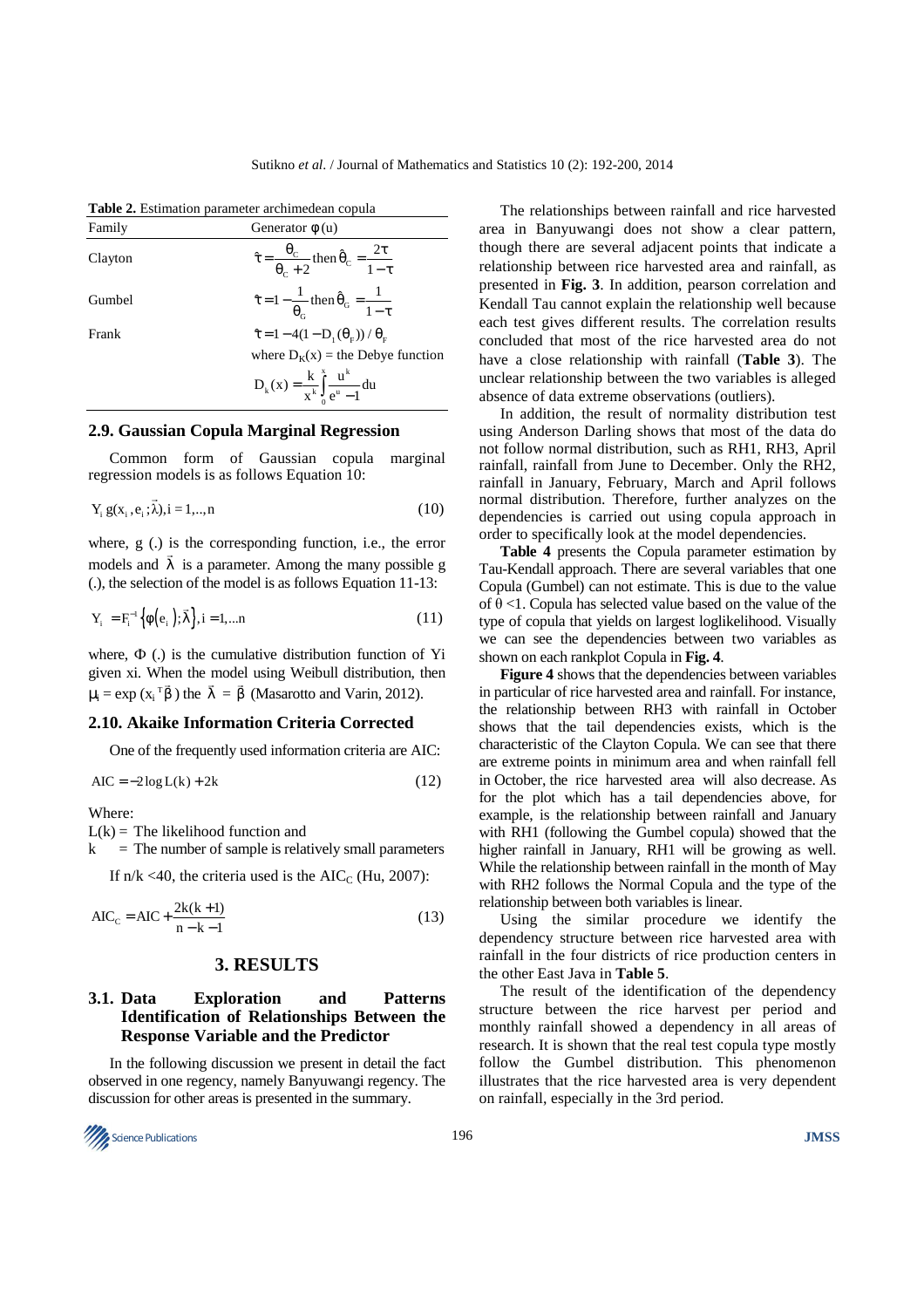**Table 2.** Estimation parameter archimedean copula

| Family  | Generator $\phi(u)$                                                                         |
|---------|---------------------------------------------------------------------------------------------|
| Clayton | $\hat{\tau} = \frac{\theta_c}{\theta_c + 2}$ then $\hat{\theta}_c = \frac{2\tau}{1 - \tau}$ |
| Gumbel  | $\hat{\tau} = 1 - \frac{1}{\theta_0}$ then $\hat{\theta}_G = \frac{1}{1 - \tau}$            |
| Frank   | $\hat{\tau} = 1 - 4(1 - D_{\text{L}}(\theta_{\text{E}})) / \theta_{\text{E}}$               |
|         | where $D_K(x)$ = the Debye function                                                         |
|         | $D_k(x) = \frac{k}{x^k} \int_{0}^{x} \frac{u^k}{e^u - 1} du$                                |

#### **2.9. Gaussian Copula Marginal Regression**

Common form of Gaussian copula marginal regression models is as follows Equation 10:

$$
Y_i g(x_i, e_i; \vec{\lambda}), i = 1, ..., n
$$
 (10)

where, g (.) is the corresponding function, i.e., the error models and  $\vec{\lambda}$  is a parameter. Among the many possible g (.), the selection of the model is as follows Equation 11-13:

$$
Y_i = F_i^{-1} \{ \phi(e_i) ; \vec{\lambda} \}, i = 1,...n
$$
 (11)

where,  $\Phi$  (.) is the cumulative distribution function of Yi given xi. When the model using Weibull distribution, then  $\mu_i = \exp(x_i^T \vec{\beta})$  the  $\vec{\lambda} = \vec{\beta}$  (Masarotto and Varin, 2012).

#### **2.10. Akaike Information Criteria Corrected**

One of the frequently used information criteria are AIC:

$$
AIC = -2\log L(k) + 2k\tag{12}
$$

Where:

 $L(k)$  = The likelihood function and

 $=$  The number of sample is relatively small parameters

If  $n/k < 40$ , the criteria used is the AIC<sub>C</sub> (Hu, 2007):

$$
AIC_{C} = AIC + \frac{2k(k+1)}{n-k-1}
$$
 (13)

## **3. RESULTS**

#### **3.1. Data Exploration and Patterns Identification of Relationships Between the Response Variable and the Predictor**

In the following discussion we present in detail the fact observed in one regency, namely Banyuwangi regency. The discussion for other areas is presented in the summary.

Science Publications 196 **JMSS** 

The relationships between rainfall and rice harvested area in Banyuwangi does not show a clear pattern, though there are several adjacent points that indicate a relationship between rice harvested area and rainfall, as presented in **Fig. 3**. In addition, pearson correlation and Kendall Tau cannot explain the relationship well because each test gives different results. The correlation results concluded that most of the rice harvested area do not have a close relationship with rainfall (**Table 3**). The unclear relationship between the two variables is alleged absence of data extreme observations (outliers).

In addition, the result of normality distribution test using Anderson Darling shows that most of the data do not follow normal distribution, such as RH1, RH3, April rainfall, rainfall from June to December. Only the RH2, rainfall in January, February, March and April follows normal distribution. Therefore, further analyzes on the dependencies is carried out using copula approach in order to specifically look at the model dependencies.

**Table 4** presents the Copula parameter estimation by Tau-Kendall approach. There are several variables that one Copula (Gumbel) can not estimate. This is due to the value of  $\theta$  <1. Copula has selected value based on the value of the type of copula that yields on largest loglikelihood. Visually we can see the dependencies between two variables as shown on each rankplot Copula in **Fig. 4**.

**Figure 4** shows that the dependencies between variables in particular of rice harvested area and rainfall. For instance, the relationship between RH3 with rainfall in October shows that the tail dependencies exists, which is the characteristic of the Clayton Copula. We can see that there are extreme points in minimum area and when rainfall fell in October, the rice harvested area will also decrease. As for the plot which has a tail dependencies above, for example, is the relationship between rainfall and January with RH1 (following the Gumbel copula) showed that the higher rainfall in January, RH1 will be growing as well. While the relationship between rainfall in the month of May with RH2 follows the Normal Copula and the type of the relationship between both variables is linear.

Using the similar procedure we identify the dependency structure between rice harvested area with rainfall in the four districts of rice production centers in the other East Java in **Table 5**.

The result of the identification of the dependency structure between the rice harvest per period and monthly rainfall showed a dependency in all areas of research. It is shown that the real test copula type mostly follow the Gumbel distribution. This phenomenon illustrates that the rice harvested area is very dependent on rainfall, especially in the 3rd period.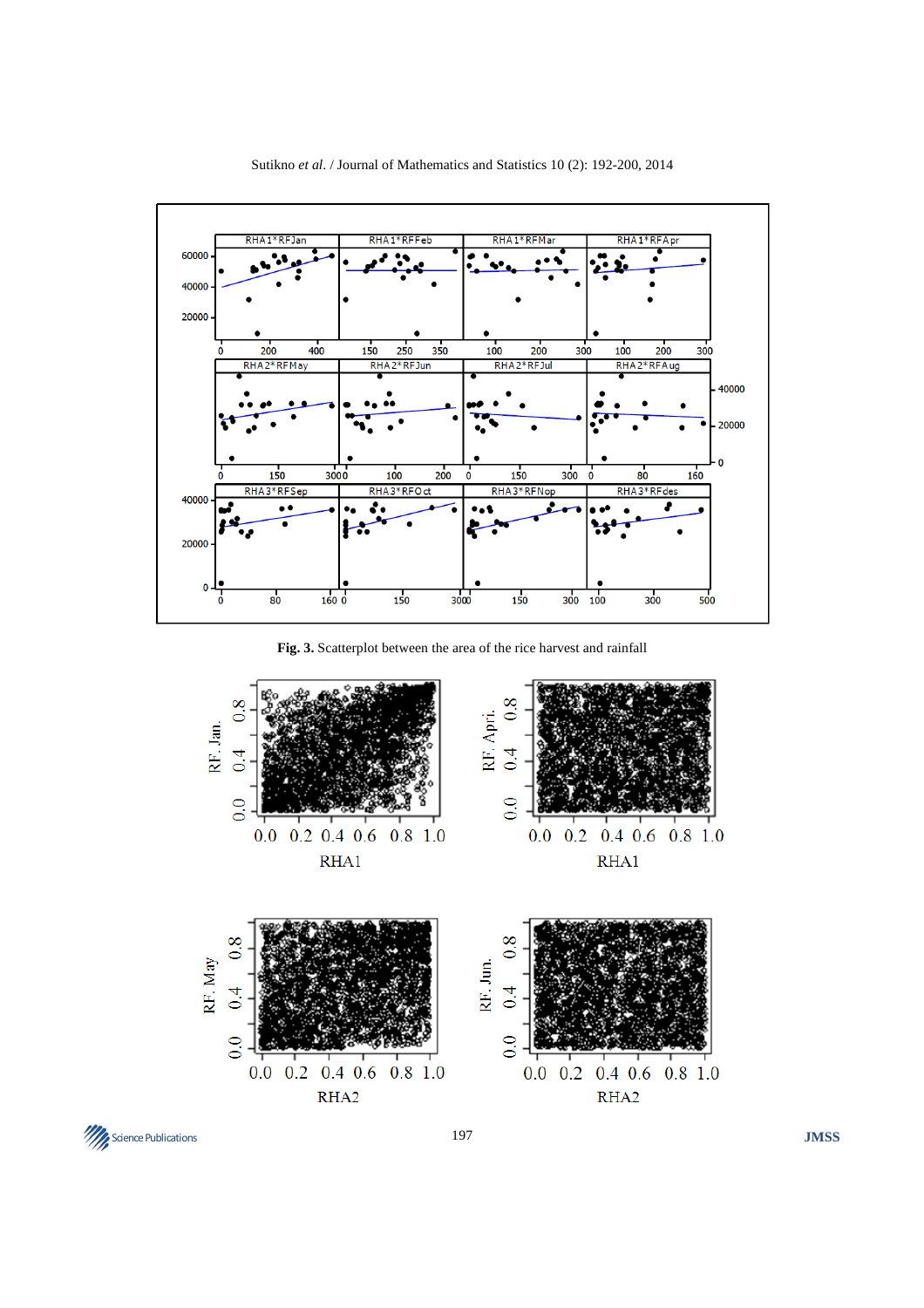

Sutikno *et al*. / Journal of Mathematics and Statistics 10 (2): 192-200, 2014

**Fig. 3.** Scatterplot between the area of the rice harvest and rainfall



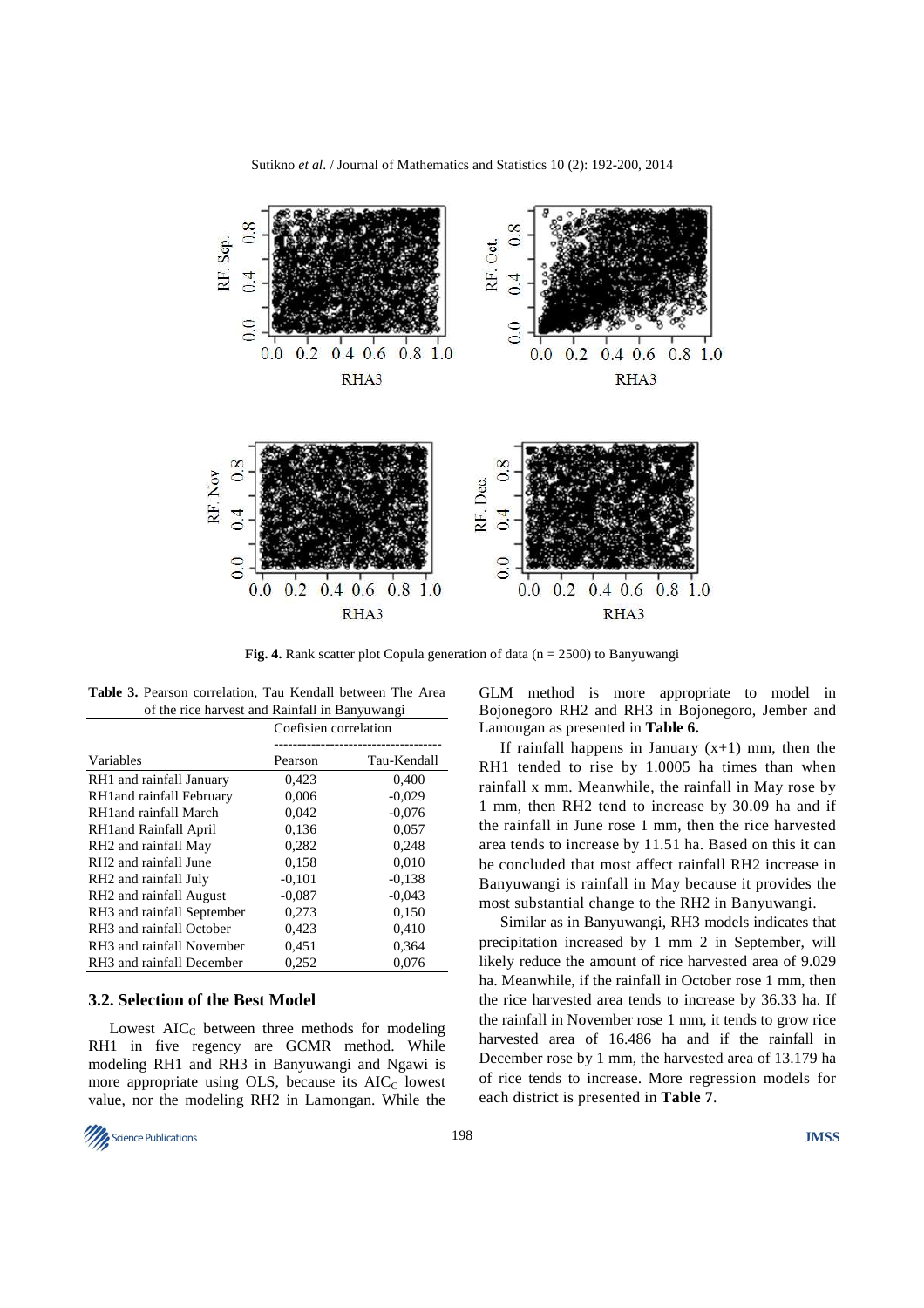

Sutikno *et al*. / Journal of Mathematics and Statistics 10 (2): 192-200, 2014

**Fig. 4.** Rank scatter plot Copula generation of data ( $n = 2500$ ) to Banyuwangi

**Table 3.** Pearson correlation, Tau Kendall between The Area of the rice harvest and Rainfall in Banyuwangi

|                                        | Coefisien correlation |             |  |
|----------------------------------------|-----------------------|-------------|--|
| Variables                              | Pearson               | Tau-Kendall |  |
| RH1 and rainfall January               | 0,423                 | 0,400       |  |
| RH1 and rainfall February              | 0,006                 | $-0.029$    |  |
| RH1 and rainfall March                 | 0,042                 | $-0.076$    |  |
| RH1 and Rainfall April                 | 0,136                 | 0,057       |  |
| RH <sub>2</sub> and rainfall May       | 0,282                 | 0,248       |  |
| RH <sub>2</sub> and rainfall June      | 0,158                 | 0,010       |  |
| RH <sub>2</sub> and rainfall July      | $-0.101$              | $-0.138$    |  |
| RH <sub>2</sub> and rainfall August    | $-0.087$              | $-0.043$    |  |
| RH <sub>3</sub> and rainfall September | 0,273                 | 0,150       |  |
| RH3 and rainfall October               | 0,423                 | 0,410       |  |
| RH3 and rainfall November              | 0,451                 | 0,364       |  |
| RH3 and rainfall December              | 0,252                 | 0,076       |  |
|                                        |                       |             |  |

#### **3.2. Selection of the Best Model**

Lowest  $AIC_C$  between three methods for modeling RH1 in five regency are GCMR method. While modeling RH1 and RH3 in Banyuwangi and Ngawi is more appropriate using OLS, because its  $AIC_C$  lowest value, nor the modeling RH2 in Lamongan. While the



GLM method is more appropriate to model in Bojonegoro RH2 and RH3 in Bojonegoro, Jember and Lamongan as presented in **Table 6.**

If rainfall happens in January  $(x+1)$  mm, then the RH1 tended to rise by 1.0005 ha times than when rainfall x mm. Meanwhile, the rainfall in May rose by 1 mm, then RH2 tend to increase by 30.09 ha and if the rainfall in June rose 1 mm, then the rice harvested area tends to increase by 11.51 ha. Based on this it can be concluded that most affect rainfall RH2 increase in Banyuwangi is rainfall in May because it provides the most substantial change to the RH2 in Banyuwangi.

Similar as in Banyuwangi, RH3 models indicates that precipitation increased by 1 mm 2 in September, will likely reduce the amount of rice harvested area of 9.029 ha. Meanwhile, if the rainfall in October rose 1 mm, then the rice harvested area tends to increase by 36.33 ha. If the rainfall in November rose 1 mm, it tends to grow rice harvested area of 16.486 ha and if the rainfall in December rose by 1 mm, the harvested area of 13.179 ha of rice tends to increase. More regression models for each district is presented in **Table 7**.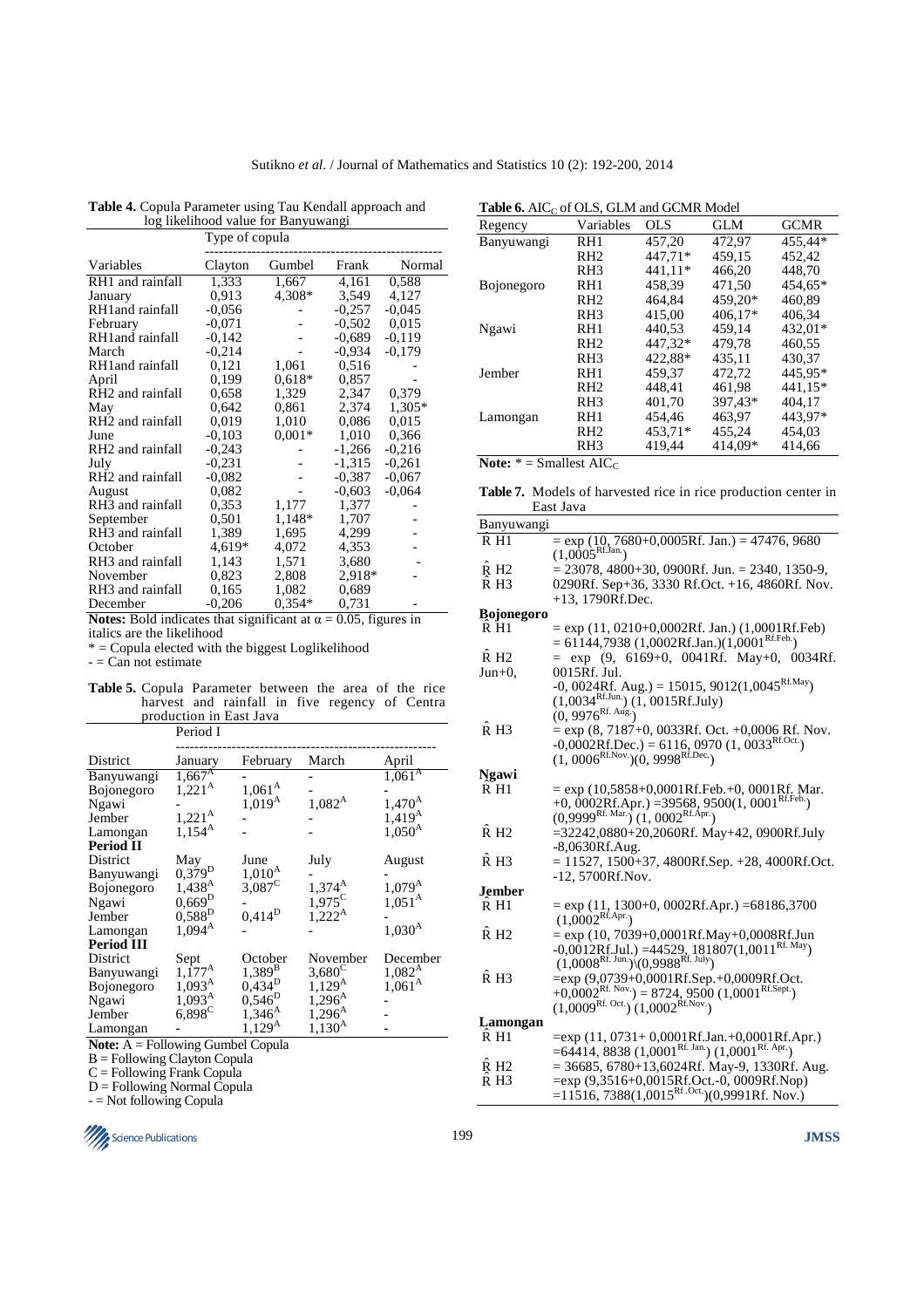|  |  | Sutikno et al. / Journal of Mathematics and Statistics 10 (2): 192-200, 2014 |  |  |  |  |  |
|--|--|------------------------------------------------------------------------------|--|--|--|--|--|
|--|--|------------------------------------------------------------------------------|--|--|--|--|--|

**Table 4.** Copula Parameter using Tau Kendall approach and log likelihood value for Banyuwangi

|                              | Type of copula |          |          |          |
|------------------------------|----------------|----------|----------|----------|
| Variables                    | Clayton        | Gumbel   | Frank    | Normal   |
| RH1 and rainfall             | 1,333          | 1,667    | 4,161    | 0,588    |
| January                      | 0,913          | 4,308*   | 3,549    | 4,127    |
| RH1 and rainfall             | $-0.056$       |          | $-0,257$ | $-0.045$ |
| February                     | $-0.071$       |          | $-0,502$ | 0,015    |
| RH1 and rainfall             | $-0,142$       |          | $-0,689$ | $-0,119$ |
| March                        | $-0,214$       |          | $-0.934$ | $-0,179$ |
| RH1 and rainfall             | 0,121          | 1,061    | 0,516    |          |
| April                        | 0,199          | $0.618*$ | 0,857    |          |
| RH <sub>2</sub> and rainfall | 0,658          | 1,329    | 2,347    | 0,379    |
| May                          | 0,642          | 0,861    | 2,374    | 1,305*   |
| RH <sub>2</sub> and rainfall | 0,019          | 1,010    | 0,086    | 0,015    |
| June                         | $-0,103$       | $0.001*$ | 1,010    | 0,366    |
| RH <sub>2</sub> and rainfall | $-0,243$       |          | $-1,266$ | $-0,216$ |
| July                         | $-0,231$       |          | $-1,315$ | $-0,261$ |
| RH2 and rainfall             | $-0.082$       |          | $-0,387$ | $-0.067$ |
| August                       | 0,082          |          | $-0,603$ | $-0.064$ |
| RH <sub>3</sub> and rainfall | 0,353          | 1,177    | 1,377    |          |
| September                    | 0,501          | 1,148*   | 1,707    |          |
| RH3 and rainfall             | 1,389          | 1,695    | 4,299    |          |
| October                      | 4,619*         | 4,072    | 4,353    |          |
| RH <sub>3</sub> and rainfall | 1,143          | 1,571    | 3,680    |          |
| November                     | 0,823          | 2,808    | 2,918*   |          |
| RH3 and rainfall             | 0,165          | 1,082    | 0,689    |          |
| December                     | $-0,206$       | $0.354*$ | 0,731    |          |

**Notes:** Bold indicates that significant at  $\alpha = 0.05$ , figures in italics are the likelihood

 $*$  = Copula elected with the biggest Loglikelihood

 $-$  = Can not estimate

**Table 5.** Copula Parameter between the area of the rice harvest and rainfall in five regency of Centra production in East Java Period I

| District                   | January         | February           | March                | April                  |
|----------------------------|-----------------|--------------------|----------------------|------------------------|
| Banyuwangi                 | $1,667^A$       |                    |                      | $1,061^{\rm A}$        |
| Bojonegoro                 | $1,221^{\rm A}$ | $1,061^{\rm A}$    |                      |                        |
| Ngawi                      |                 | $1,019^{\rm A}$    | $1,082^{\rm A}$      | $1,470^{\rm A}$        |
| Jember                     | $1,221^{\rm A}$ |                    |                      | 1,419 <sup>A</sup>     |
| Lamongan                   | $1,154^A$       |                    |                      | $1,050^{\rm A}$        |
| Period II                  |                 |                    |                      |                        |
| District                   | May             | June               | July                 | August                 |
| Banyuwangi                 | $0.379^{D}$     | $1,010^{A}$        |                      |                        |
| Bojonegoro                 | $1,438^{A}$     | $3,087^C$          | $1,374^{A}$          | $1,079^A$<br>$1,051^A$ |
| Ngawi                      | $0,669^D$       |                    | $1,975$ <sup>C</sup> |                        |
| Jember                     | $0,588^D$       | $0,414^D$          | $1,222^{\rm A}$      |                        |
| Lamongan                   | $1,094^{\rm A}$ |                    |                      | $1,030^{A}$            |
| <b>Period III</b>          |                 |                    |                      |                        |
| District                   | Sept            | October            | November             | December               |
| Banyuwangi                 | $1,177^A$       | $1,389^{\rm B}$    | $3,680^{\circ}$      | $1,082^{\rm A}$        |
| Bojonegoro                 | $1,093^{\rm A}$ | $0,434^D$          | $1,129^{\rm A}$      | $1,061^{\rm A}$        |
| Ngawi                      | $1,093^{\rm A}$ | $0,546^D$          | $1,296^{\rm A}$      |                        |
| Jember                     | $6,898^C$       | $1,346^{\rm A}$    | $1,296^{\rm A}$      |                        |
| Lamongan                   |                 | 1,129 <sup>A</sup> | $1,130^{A}$          |                        |
| $N = 4 - 4$<br>$17 - 11 -$ | $\overline{C}$  | $\sim 10$          |                      |                        |

**Note:** A = Following Gumbel Copula

B = Following Clayton Copula

 $C =$  Following Frank Copula

D = Following Normal Copula

- = Not following Copula



| <b>Table 6.</b> AIC $C$ of OLS, GLM and GCMR Model |                 |         |           |             |
|----------------------------------------------------|-----------------|---------|-----------|-------------|
| Regency                                            | Variables       | OL S    | GLM       | <b>GCMR</b> |
| Banyuwangi                                         | RH1             | 457.20  | 472.97    | 455.44*     |
|                                                    | RH <sub>2</sub> | 447.71* | 459.15    | 452.42      |
|                                                    | RH <sub>3</sub> | 441,11* | 466,20    | 448.70      |
| Bojonegoro                                         | RH1             | 458.39  | 471.50    | 454.65*     |
|                                                    | RH <sub>2</sub> | 464.84  | 459.20*   | 460.89      |
|                                                    | RH <sub>3</sub> | 415,00  | $406.17*$ | 406.34      |
| Ngawi                                              | RH1             | 440.53  | 459.14    | 432.01*     |
|                                                    | RH <sub>2</sub> | 447,32* | 479.78    | 460.55      |
|                                                    | RH <sub>3</sub> | 422.88* | 435.11    | 430,37      |
| Jember                                             | RH1             | 459.37  | 472,72    | 445.95*     |
|                                                    | RH <sub>2</sub> | 448.41  | 461,98    | 441,15*     |
|                                                    | RH <sub>3</sub> | 401.70  | 397.43*   | 404.17      |
| Lamongan                                           | RH1             | 454.46  | 463.97    | 443.97*     |
|                                                    | RH <sub>2</sub> | 453.71* | 455,24    | 454.03      |
|                                                    | RH <sub>3</sub> | 419.44  | 414.09*   | 414.66      |

**Note:**  $* =$  Smallest AIC<sub>C</sub>

**Table 7.** Models of harvested rice in rice production center in East Java

| Banyuwangi                 |                                                                                                                                                                                         |
|----------------------------|-----------------------------------------------------------------------------------------------------------------------------------------------------------------------------------------|
| $R$ H <sub>1</sub>         | $=$ exp (10, 7680+0,0005Rf. Jan.) = 47476, 9680<br>$(1,0005^{\text{Rf.Jan.}})$                                                                                                          |
| $\hat{R}$ H <sub>2</sub>   | $= 23078, 4800 + 30, 0900Rf$ . Jun. $= 2340, 1350 - 9$ ,                                                                                                                                |
| $\hat{R}$ H <sub>3</sub>   | 0290Rf. Sep+36, 3330 Rf.Oct. +16, 4860Rf. Nov.<br>$+13$ , 1790Rf.Dec.                                                                                                                   |
| <b>Bojonegoro</b>          |                                                                                                                                                                                         |
| $\hat{R}$ H <sub>1</sub>   | $=$ exp (11, 0210+0,0002Rf. Jan.) (1,0001Rf.Feb)<br>$= 61144,7938 (1,0002Rf.Jan.)(1,0001^{Rf.Feb.})$                                                                                    |
| $R$ H <sub>2</sub>         | exp (9, 6169+0, 0041Rf. May+0, 0034Rf.                                                                                                                                                  |
| $Jun+0.$                   | 0015Rf. Jul.                                                                                                                                                                            |
|                            | $-0$ , 0024Rf. Aug.) = 15015, 9012(1,0045 <sup>Rf.May</sup> )<br>$(1,0034^{\text{Rf,Jun}})$ $(1, 0015\text{Rf, July})$<br>$(0, 9976^{\text{Rf. Aug.}})$                                 |
| $R$ H <sub>3</sub>         | $=$ exp (8, 7187+0, 0033Rf. Oct. +0,0006 Rf. Nov.<br>$-0,0002Rf,Dec.) = 6116, 0970 (1,0033^{Rf,Oct.})$<br>$(1,0006^{Rf,Nov.})(0,9998^{Rf,Dec.})$                                        |
| Ngawi                      |                                                                                                                                                                                         |
| $R$ H <sub>1</sub>         | $=$ exp (10,5858+0,0001Rf.Feb.+0, 0001Rf. Mar.<br>+0, 0002Rf.Apr.) =39568, 9500(1, 0001 <sup>Rf.Feb.</sup> )<br>(0,9999 <sup>Rf. Mar.</sup> ) (1, 0002 <sup>Rf.Apr.</sup> )             |
| $R$ H <sub>2</sub>         | $=$ 32242,0880+20,2060Rf. May+42,0900Rf.July<br>-8,0630Rf.Aug.                                                                                                                          |
| $\hat{R}$ H <sub>3</sub>   | $= 11527, 1500 + 37, 4800Rf$ .Sep. +28, 4000Rf.Oct.<br>-12, 5700Rf.Nov.                                                                                                                 |
| <b>Jember</b>              |                                                                                                                                                                                         |
| $R$ H <sub>1</sub>         | $=$ exp (11, 1300+0, 0002Rf.Apr.) = 68186,3700<br>$(1,0002^{\rm Rf. Apr.})$                                                                                                             |
| $\hat{R}$ H <sub>2</sub>   | $=$ exp (10, 7039+0,0001Rf.May+0,0008Rf.Jun<br>$-0,0012Rf$ .Jul.) = 44529, 181807(1,0011 <sup>Rf. May</sup> )<br>$(1,0008^{Rf. \text{ Jun.}})(0,9988^{Rf. \text{ July}})$               |
| $\hat{R}$ H <sub>3</sub>   | $=$ exp $(9,0739+0,0001Rf.Sep.+0,0009Rf.Oct.$<br>+0,0002 <sup>Rf. Nov.</sup> ) = 8724, 9500 (1,0001 <sup>Rf.Sept.</sup> )<br>(1,0009 <sup>Rf. Oct.</sup> ) (1,0002 <sup>Rf.Nov.</sup> ) |
| Lamongan                   |                                                                                                                                                                                         |
| $\hat{R}$ H <sub>1</sub>   | $=$ exp $(11, 0731+0,0001Rf.Jan.+0,0001Rf.Apr.)$<br>$= 64414, 8838 (1,0001^{\text{Rf. Jan.}}) (1,0001^{\text{Rf. Apr.}})$                                                               |
| $\tilde{R}$ H <sub>2</sub> | $=$ 36685, 6780+13,6024Rf. May-9, 1330Rf. Aug.                                                                                                                                          |
| $R$ H <sub>3</sub>         | $=exp(9,3516+0,0015Rf.Oct.-0,0009Rf.Nop))$<br>$=11516, 7388(1,0015^{\text{Rf Oct.}})(0,9991\text{Rf. Nov.})$                                                                            |
|                            |                                                                                                                                                                                         |